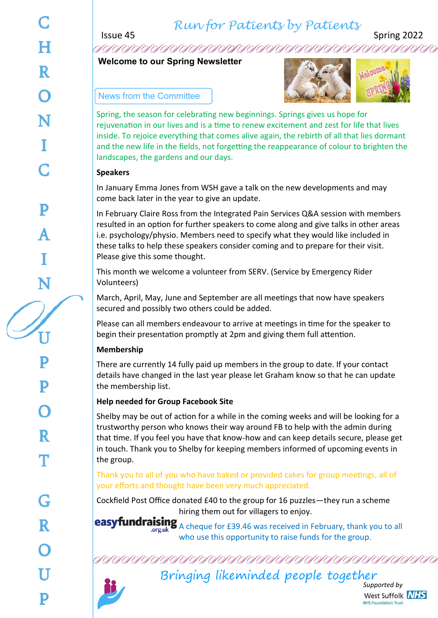## *Run for Patients by Patients*

Issue 45 Spring 2022

**Welcome to our Spring Newsletter**

### News from the Committee



Spring, the season for celebrating new beginnings. Springs gives us hope for rejuvenation in our lives and is a time to renew excitement and zest for life that lives inside. To rejoice everything that comes alive again, the rebirth of all that lies dormant and the new life in the fields, not forgetting the reappearance of colour to brighten the landscapes, the gardens and our days.

### **Speakers**

In January Emma Jones from WSH gave a talk on the new developments and may come back later in the year to give an update.

In February Claire Ross from the Integrated Pain Services Q&A session with members resulted in an option for further speakers to come along and give talks in other areas i.e. psychology/physio. Members need to specify what they would like included in these talks to help these speakers consider coming and to prepare for their visit. Please give this some thought.

This month we welcome a volunteer from SERV. (Service by Emergency Rider Volunteers)

March, April, May, June and September are all meetings that now have speakers secured and possibly two others could be added.

Please can all members endeavour to arrive at meetings in time for the speaker to begin their presentation promptly at 2pm and giving them full attention.

## **Membership**

There are currently 14 fully paid up members in the group to date. If your contact details have changed in the last year please let Graham know so that he can update the membership list.

## **Help needed for Group Facebook Site**

Shelby may be out of action for a while in the coming weeks and will be looking for a trustworthy person who knows their way around FB to help with the admin during that time. If you feel you have that know-how and can keep details secure, please get in touch. Thank you to Shelby for keeping members informed of upcoming events in the group.

Thank you to all of you who have baked or provided cakes for group meetings, all of your efforts and thought have been very much appreciated.

Cockfield Post Office donated £40 to the group for 16 puzzles—they run a scheme hiring them out for villagers to enjoy.

easyfundraising A cheque for £39.46 was received in February, thank you to all who use this opportunity to raise funds for the group.

Bringing likeminded people together

*Supported by* West Suffolk NHS **NHS Foundation Trust**